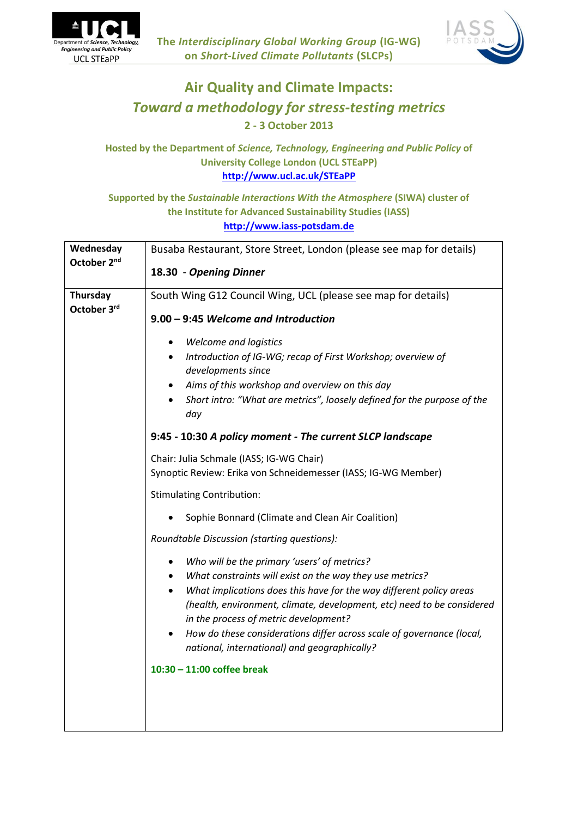



# **Air Quality and Climate Impacts:** *Toward a methodology for stress-testing metrics* **2 - 3 October 2013**

## **Hosted by the Department of** *Science, Technology, Engineering and Public Policy* **of University College London (UCL STEaPP) <http://www.ucl.ac.uk/STEaPP>**

## **Supported by the** *Sustainable Interactions With the Atmosphere* **(SIWA) cluster of the Institute for Advanced Sustainability Studies (IASS) [http://www.iass-potsdam.de](http://www.iass-potsdam.de/)**

| Wednesday<br>October 2 <sup>nd</sup> | Busaba Restaurant, Store Street, London (please see map for details)                                                                                                                                                                                                                                                                                                                                                                                                           |
|--------------------------------------|--------------------------------------------------------------------------------------------------------------------------------------------------------------------------------------------------------------------------------------------------------------------------------------------------------------------------------------------------------------------------------------------------------------------------------------------------------------------------------|
|                                      | 18.30 - Opening Dinner                                                                                                                                                                                                                                                                                                                                                                                                                                                         |
| Thursday<br>October 3rd              | South Wing G12 Council Wing, UCL (please see map for details)                                                                                                                                                                                                                                                                                                                                                                                                                  |
|                                      | 9.00 - 9:45 Welcome and Introduction                                                                                                                                                                                                                                                                                                                                                                                                                                           |
|                                      | <b>Welcome and logistics</b><br>$\bullet$                                                                                                                                                                                                                                                                                                                                                                                                                                      |
|                                      | Introduction of IG-WG; recap of First Workshop; overview of<br>$\bullet$                                                                                                                                                                                                                                                                                                                                                                                                       |
|                                      | developments since<br>Aims of this workshop and overview on this day<br>$\bullet$                                                                                                                                                                                                                                                                                                                                                                                              |
|                                      | Short intro: "What are metrics", loosely defined for the purpose of the<br>day                                                                                                                                                                                                                                                                                                                                                                                                 |
|                                      | 9:45 - 10:30 A policy moment - The current SLCP landscape                                                                                                                                                                                                                                                                                                                                                                                                                      |
|                                      | Chair: Julia Schmale (IASS; IG-WG Chair)<br>Synoptic Review: Erika von Schneidemesser (IASS; IG-WG Member)                                                                                                                                                                                                                                                                                                                                                                     |
|                                      | <b>Stimulating Contribution:</b>                                                                                                                                                                                                                                                                                                                                                                                                                                               |
|                                      | Sophie Bonnard (Climate and Clean Air Coalition)<br>$\bullet$                                                                                                                                                                                                                                                                                                                                                                                                                  |
|                                      | Roundtable Discussion (starting questions):                                                                                                                                                                                                                                                                                                                                                                                                                                    |
|                                      | Who will be the primary 'users' of metrics?<br>$\bullet$<br>What constraints will exist on the way they use metrics?<br>$\bullet$<br>What implications does this have for the way different policy areas<br>$\bullet$<br>(health, environment, climate, development, etc) need to be considered<br>in the process of metric development?<br>How do these considerations differ across scale of governance (local,<br>$\bullet$<br>national, international) and geographically? |
|                                      | $10:30 - 11:00$ coffee break                                                                                                                                                                                                                                                                                                                                                                                                                                                   |
|                                      |                                                                                                                                                                                                                                                                                                                                                                                                                                                                                |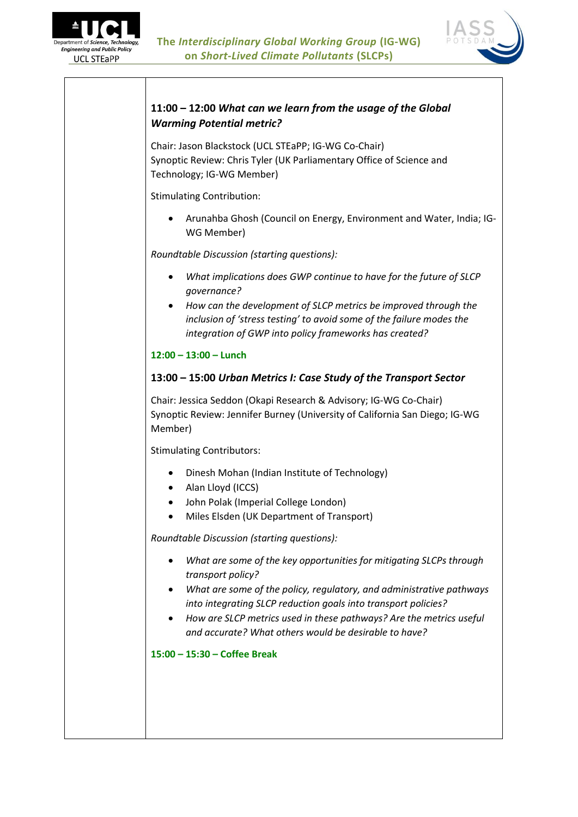



# **11:00 – 12:00** *What can we learn from the usage of the Global Warming Potential metric?*

Chair: Jason Blackstock (UCL STEaPP; IG-WG Co-Chair) Synoptic Review: Chris Tyler (UK Parliamentary Office of Science and Technology; IG-WG Member)

Stimulating Contribution:

 Arunahba Ghosh (Council on Energy, Environment and Water, India; IG-WG Member)

*Roundtable Discussion (starting questions):*

- *What implications does GWP continue to have for the future of SLCP governance?*
- *How can the development of SLCP metrics be improved through the inclusion of 'stress testing' to avoid some of the failure modes the integration of GWP into policy frameworks has created?*

#### **12:00 – 13:00 – Lunch**

### **13:00 – 15:00** *Urban Metrics I: Case Study of the Transport Sector*

Chair: Jessica Seddon (Okapi Research & Advisory; IG-WG Co-Chair) Synoptic Review: Jennifer Burney (University of California San Diego; IG-WG Member)

Stimulating Contributors:

- Dinesh Mohan (Indian Institute of Technology)
- Alan Lloyd (ICCS)
- John Polak (Imperial College London)
- Miles Elsden (UK Department of Transport)

*Roundtable Discussion (starting questions):*

- *What are some of the key opportunities for mitigating SLCPs through transport policy?*
- *What are some of the policy, regulatory, and administrative pathways into integrating SLCP reduction goals into transport policies?*
- *How are SLCP metrics used in these pathways? Are the metrics useful and accurate? What others would be desirable to have?*

**15:00 – 15:30 – Coffee Break**